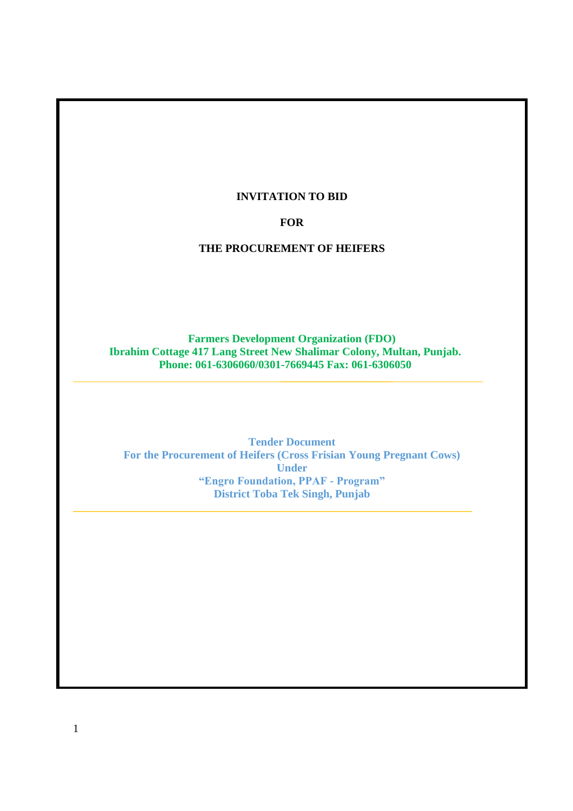### **INVITATION TO BID**

#### **FOR**

# **THE PROCUREMENT OF HEIFERS**

**Farmers Development Organization (FDO) Ibrahim Cottage 417 Lang Street New Shalimar Colony, Multan, Punjab. Phone: 061-6306060/0301-7669445 Fax: 061-6306050**

\_\_\_\_\_\_\_\_\_\_\_\_\_\_\_\_\_\_\_\_\_\_\_\_\_\_\_\_\_\_\_\_\_\_\_\_\_**\_\_\_\_\_\_\_\_\_\_\_\_\_\_\_\_\_\_\_\_**\_\_\_\_\_\_\_\_\_\_\_\_\_\_\_\_

**Tender Document For the Procurement of Heifers (Cross Frisian Young Pregnant Cows) Under "Engro Foundation, PPAF - Program" District Toba Tek Singh, Punjab**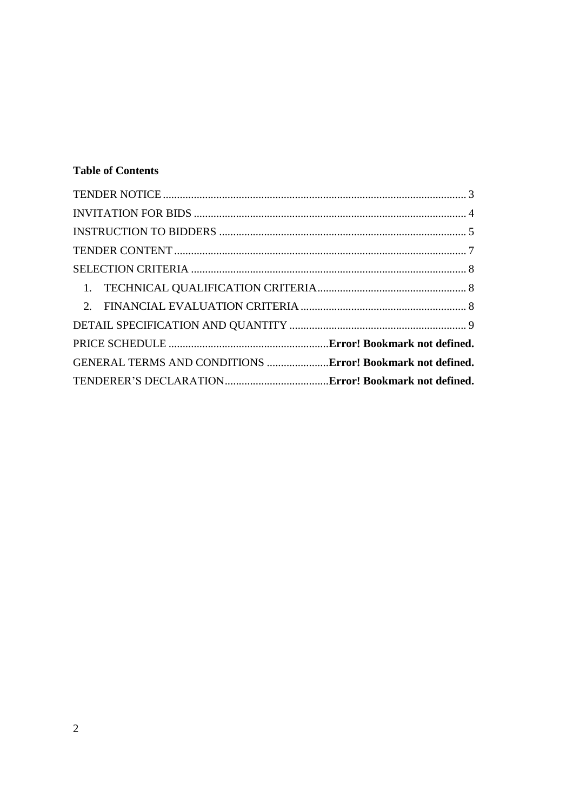# **Table of Contents**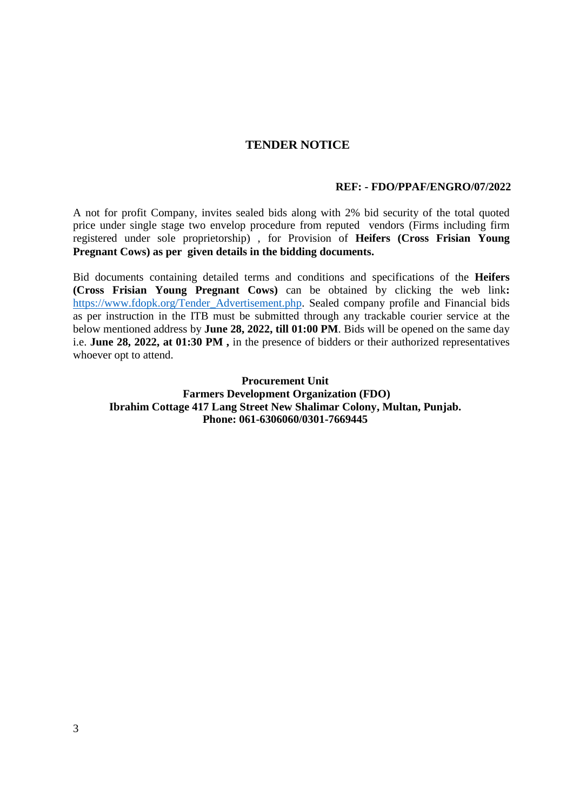### **TENDER NOTICE**

#### **REF: - FDO/PPAF/ENGRO/07/2022**

<span id="page-2-0"></span>A not for profit Company, invites sealed bids along with 2% bid security of the total quoted price under single stage two envelop procedure from reputed vendors (Firms including firm registered under sole proprietorship) , for Provision of **Heifers (Cross Frisian Young Pregnant Cows) as per given details in the bidding documents.**

Bid documents containing detailed terms and conditions and specifications of the **Heifers (Cross Frisian Young Pregnant Cows)** can be obtained by clicking the web link**:**  https://www.fdopk.org/Tender\_Advertisement.php. Sealed company profile and Financial bids [as per instruction in the ITB must be submitted](https://www.fdopk.org/Tender_Advertisement.php) through any trackable courier service at the below mentioned address by **June 28, 2022, till 01:00 PM**. Bids will be opened on the same day i.e. **June 28, 2022, at 01:30 PM ,** in the presence of bidders or their authorized representatives whoever opt to attend.

**Procurement Unit Farmers Development Organization (FDO) Ibrahim Cottage 417 Lang Street New Shalimar Colony, Multan, Punjab. Phone: 061-6306060/0301-7669445**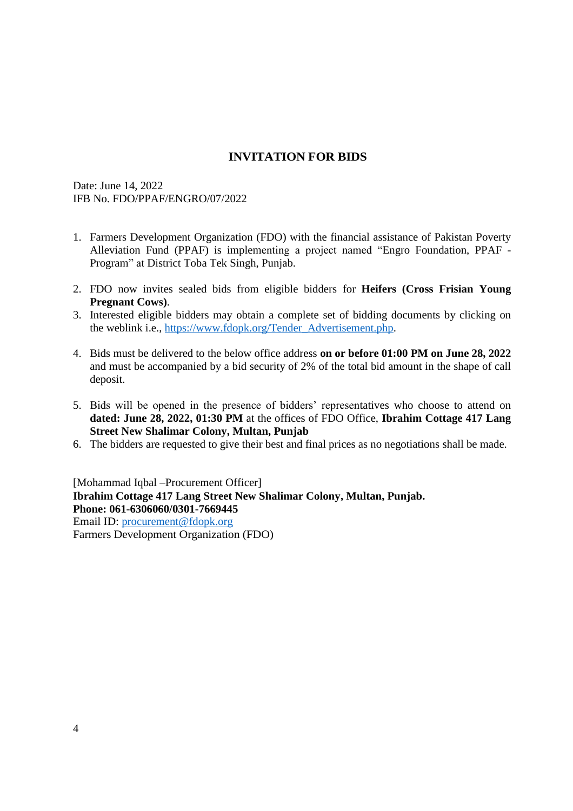# **INVITATION FOR BIDS**

<span id="page-3-0"></span>Date: June 14, 2022 IFB No. FDO/PPAF/ENGRO/07/2022

- 1. Farmers Development Organization (FDO) with the financial assistance of Pakistan Poverty Alleviation Fund (PPAF) is implementing a project named "Engro Foundation, PPAF - Program" at District Toba Tek Singh, Punjab.
- 2. FDO now invites sealed bids from eligible bidders for **Heifers (Cross Frisian Young Pregnant Cows)**.
- 3. Interested eligible bidders may obtain a complete set of bidding documents by clicking on the weblink i.e., https://www.fdopk.org/Tender\_Advertisement.php.
- 4. Bids must be delivered to the below office address **[on or before 01:00](https://www.fdopk.org/Tender_Advertisement.php) PM on June 28, 2022** and must be accompanied by a bid security of 2% of the total bid amount in the shape of call deposit.
- 5. Bids will be opened in the presence of bidders' representatives who choose to attend on **dated: June 28, 2022, 01:30 PM** at the offices of FDO Office, **Ibrahim Cottage 417 Lang Street New Shalimar Colony, Multan, Punjab**
- 6. The bidders are requested to give their best and final prices as no negotiations shall be made.

[Mohammad Iqbal –Procurement Officer] **Ibrahim Cottage 417 Lang Street New Shalimar Colony, Multan, Punjab. Phone: 061-6306060/0301-7669445** Email ID: procurement@fdopk.org Farmers Development Organization (FDO)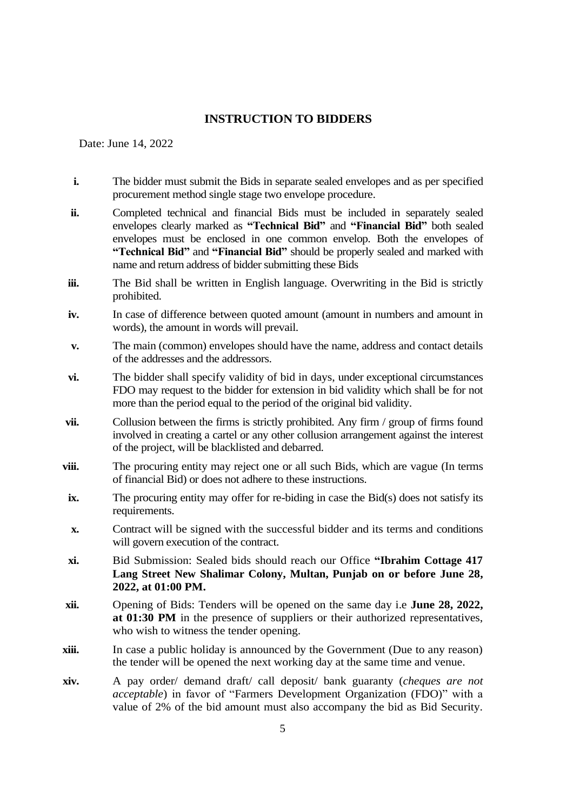#### **INSTRUCTION TO BIDDERS**

<span id="page-4-0"></span>Date: June 14, 2022

- **i.** The bidder must submit the Bids in separate sealed envelopes and as per specified procurement method single stage two envelope procedure.
- **ii.** Completed technical and financial Bids must be included in separately sealed envelopes clearly marked as **"Technical Bid"** and **"Financial Bid"** both sealed envelopes must be enclosed in one common envelop. Both the envelopes of **"Technical Bid"** and **"Financial Bid"** should be properly sealed and marked with name and return address of bidder submitting these Bids
- **iii.** The Bid shall be written in English language. Overwriting in the Bid is strictly prohibited.
- **iv.** In case of difference between quoted amount (amount in numbers and amount in words), the amount in words will prevail.
- **v.** The main (common) envelopes should have the name, address and contact details of the addresses and the addressors.
- **vi.** The bidder shall specify validity of bid in days, under exceptional circumstances FDO may request to the bidder for extension in bid validity which shall be for not more than the period equal to the period of the original bid validity.
- **vii.** Collusion between the firms is strictly prohibited. Any firm / group of firms found involved in creating a cartel or any other collusion arrangement against the interest of the project, will be blacklisted and debarred.
- **viii.** The procuring entity may reject one or all such Bids, which are vague (In terms of financial Bid) or does not adhere to these instructions.
- **ix.** The procuring entity may offer for re-biding in case the Bid(s) does not satisfy its requirements.
- **x.** Contract will be signed with the successful bidder and its terms and conditions will govern execution of the contract.
- **xi.** Bid Submission: Sealed bids should reach our Office **"Ibrahim Cottage 417 Lang Street New Shalimar Colony, Multan, Punjab on or before June 28, 2022, at 01:00 PM.**
- **xii.** Opening of Bids: Tenders will be opened on the same day i.e **June 28, 2022, at 01:30 PM** in the presence of suppliers or their authorized representatives, who wish to witness the tender opening.
- **xiii.** In case a public holiday is announced by the Government (Due to any reason) the tender will be opened the next working day at the same time and venue.
- **xiv.** A pay order/ demand draft/ call deposit/ bank guaranty (*cheques are not acceptable*) in favor of "Farmers Development Organization (FDO)" with a value of 2% of the bid amount must also accompany the bid as Bid Security.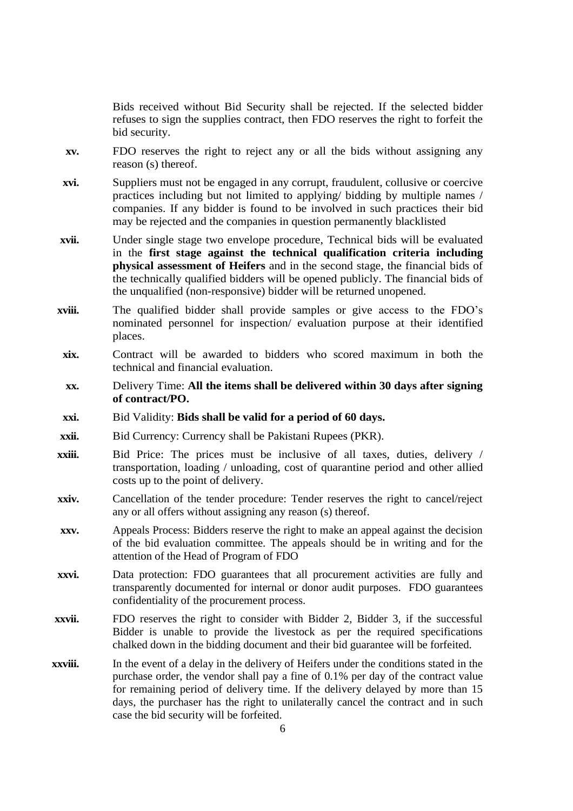Bids received without Bid Security shall be rejected. If the selected bidder refuses to sign the supplies contract, then FDO reserves the right to forfeit the bid security.

- **xv.** FDO reserves the right to reject any or all the bids without assigning any reason (s) thereof.
- **xvi.** Suppliers must not be engaged in any corrupt, fraudulent, collusive or coercive practices including but not limited to applying/ bidding by multiple names / companies. If any bidder is found to be involved in such practices their bid may be rejected and the companies in question permanently blacklisted
- **xvii.** Under single stage two envelope procedure, Technical bids will be evaluated in the **first stage against the technical qualification criteria including physical assessment of Heifers** and in the second stage, the financial bids of the technically qualified bidders will be opened publicly. The financial bids of the unqualified (non-responsive) bidder will be returned unopened.
- **xviii.** The qualified bidder shall provide samples or give access to the FDO's nominated personnel for inspection/ evaluation purpose at their identified places.
- **xix.** Contract will be awarded to bidders who scored maximum in both the technical and financial evaluation.
- **xx.** Delivery Time: **All the items shall be delivered within 30 days after signing of contract/PO.**
- **xxi.** Bid Validity: **Bids shall be valid for a period of 60 days.**
- **xxii.** Bid Currency: Currency shall be Pakistani Rupees (PKR).
- **xxiii.** Bid Price: The prices must be inclusive of all taxes, duties, delivery / transportation, loading / unloading, cost of quarantine period and other allied costs up to the point of delivery.
- **xxiv.** Cancellation of the tender procedure: Tender reserves the right to cancel/reject any or all offers without assigning any reason (s) thereof.
- **xxv.** Appeals Process: Bidders reserve the right to make an appeal against the decision of the bid evaluation committee. The appeals should be in writing and for the attention of the Head of Program of FDO
- **xxvi.** Data protection: FDO guarantees that all procurement activities are fully and transparently documented for internal or donor audit purposes. FDO guarantees confidentiality of the procurement process.
- **xxvii.** FDO reserves the right to consider with Bidder 2, Bidder 3, if the successful Bidder is unable to provide the livestock as per the required specifications chalked down in the bidding document and their bid guarantee will be forfeited.
- **xxviii.** In the event of a delay in the delivery of Heifers under the conditions stated in the purchase order, the vendor shall pay a fine of 0.1% per day of the contract value for remaining period of delivery time. If the delivery delayed by more than 15 days, the purchaser has the right to unilaterally cancel the contract and in such case the bid security will be forfeited.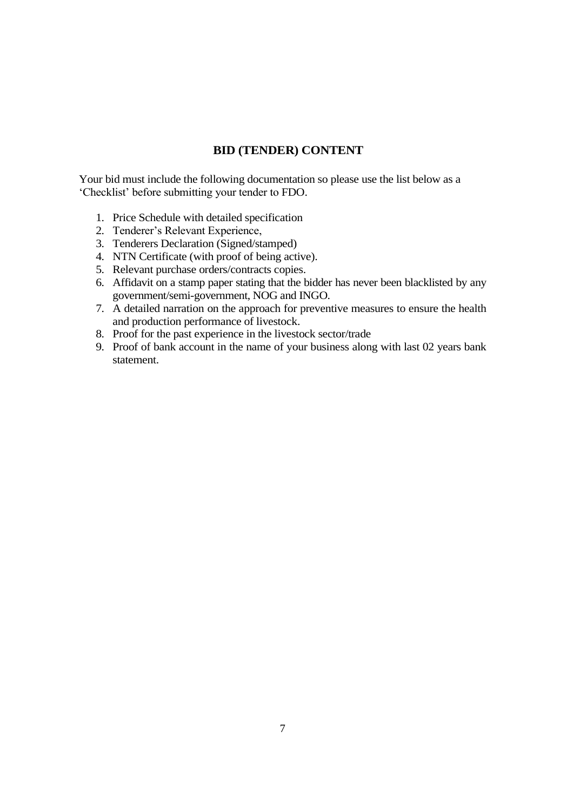### **BID (TENDER) CONTENT**

<span id="page-6-0"></span>Your bid must include the following documentation so please use the list below as a 'Checklist' before submitting your tender to FDO.

- 1. Price Schedule with detailed specification
- 2. Tenderer's Relevant Experience,
- 3. Tenderers Declaration (Signed/stamped)
- 4. NTN Certificate (with proof of being active).
- 5. Relevant purchase orders/contracts copies.
- 6. Affidavit on a stamp paper stating that the bidder has never been blacklisted by any government/semi-government, NOG and INGO.
- 7. A detailed narration on the approach for preventive measures to ensure the health and production performance of livestock.
- 8. Proof for the past experience in the livestock sector/trade
- 9. Proof of bank account in the name of your business along with last 02 years bank statement.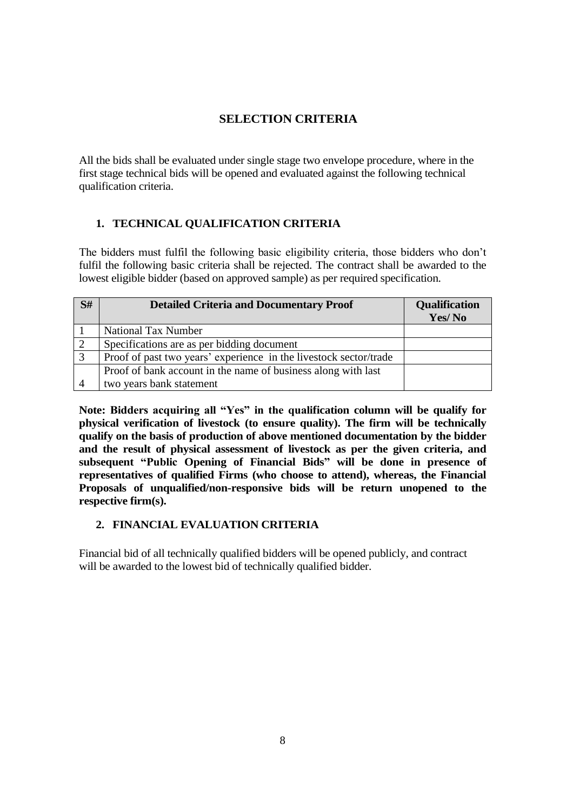# **SELECTION CRITERIA**

<span id="page-7-0"></span>All the bids shall be evaluated under single stage two envelope procedure, where in the first stage technical bids will be opened and evaluated against the following technical qualification criteria.

# <span id="page-7-1"></span>**1. TECHNICAL QUALIFICATION CRITERIA**

The bidders must fulfil the following basic eligibility criteria, those bidders who don't fulfil the following basic criteria shall be rejected. The contract shall be awarded to the lowest eligible bidder (based on approved sample) as per required specification.

| S# | <b>Detailed Criteria and Documentary Proof</b>                    | <b>Qualification</b><br>Yes/No |
|----|-------------------------------------------------------------------|--------------------------------|
|    | National Tax Number                                               |                                |
|    | Specifications are as per bidding document                        |                                |
| 3  | Proof of past two years' experience in the livestock sector/trade |                                |
|    | Proof of bank account in the name of business along with last     |                                |
|    | two years bank statement                                          |                                |

**Note: Bidders acquiring all "Yes" in the qualification column will be qualify for physical verification of livestock (to ensure quality). The firm will be technically qualify on the basis of production of above mentioned documentation by the bidder and the result of physical assessment of livestock as per the given criteria, and subsequent "Public Opening of Financial Bids" will be done in presence of representatives of qualified Firms (who choose to attend), whereas, the Financial Proposals of unqualified/non-responsive bids will be return unopened to the respective firm(s).** 

# **2. FINANCIAL EVALUATION CRITERIA**

<span id="page-7-2"></span>Financial bid of all technically qualified bidders will be opened publicly, and contract will be awarded to the lowest bid of technically qualified bidder.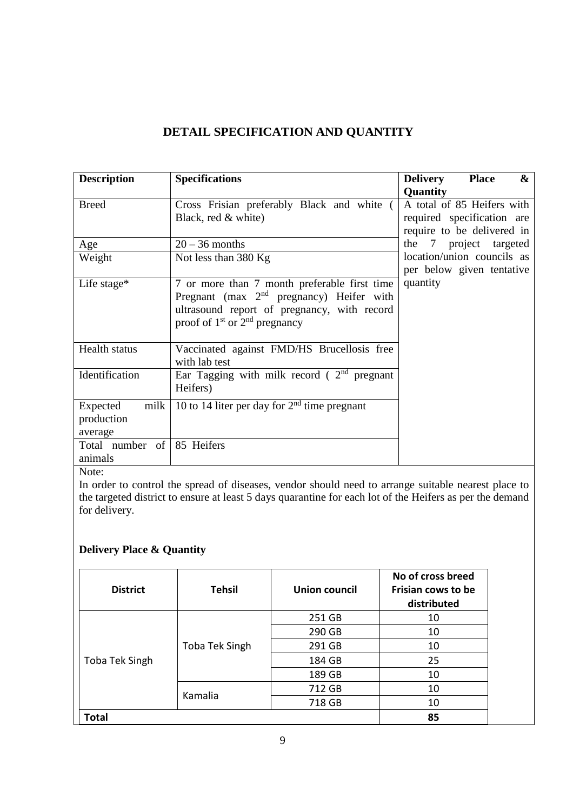# **DETAIL SPECIFICATION AND QUANTITY**

| <b>Description</b>         | <b>Specifications</b>                                       | $\boldsymbol{\&}$<br><b>Delivery</b><br><b>Place</b>     |
|----------------------------|-------------------------------------------------------------|----------------------------------------------------------|
|                            |                                                             | <b>Quantity</b>                                          |
| <b>Breed</b>               | Cross Frisian preferably Black and white (                  | A total of 85 Heifers with                               |
|                            | Black, red & white)                                         | required specification are<br>require to be delivered in |
| Age                        | $20 - 36$ months                                            | the 7 project targeted                                   |
| Weight                     | Not less than 380 Kg                                        | location/union councils as                               |
|                            |                                                             | per below given tentative                                |
| Life stage $*$             | 7 or more than 7 month preferable first time                | quantity                                                 |
|                            | Pregnant (max $2nd$ pregnancy) Heifer with                  |                                                          |
|                            | ultrasound report of pregnancy, with record                 |                                                          |
|                            | proof of $1st$ or $2nd$ pregnancy                           |                                                          |
|                            |                                                             |                                                          |
| Health status              | Vaccinated against FMD/HS Brucellosis free<br>with lab test |                                                          |
| Identification             | Ear Tagging with milk record $(2nd$ pregnant                |                                                          |
|                            | Heifers)                                                    |                                                          |
| milk  <br>Expected         | 10 to 14 liter per day for $2nd$ time pregnant              |                                                          |
| production                 |                                                             |                                                          |
| average                    |                                                             |                                                          |
| Total number of 85 Heifers |                                                             |                                                          |
| animals                    |                                                             |                                                          |

Note:

In order to control the spread of diseases, vendor should need to arrange suitable nearest place to the targeted district to ensure at least 5 days quarantine for each lot of the Heifers as per the demand for delivery.

# **Delivery Place & Quantity**

| <b>District</b> | <b>Tehsil</b>         | Union council | No of cross breed<br>Frisian cows to be<br>distributed |
|-----------------|-----------------------|---------------|--------------------------------------------------------|
|                 | <b>Toba Tek Singh</b> | 251 GB        | 10                                                     |
|                 |                       | 290 GB        | 10                                                     |
|                 |                       | 291 GB        | 10                                                     |
| Toba Tek Singh  |                       | 184 GB        | 25                                                     |
|                 |                       | 189 GB<br>10  |                                                        |
|                 | Kamalia               | 712 GB        | 10                                                     |
|                 |                       | 718 GB        | 10                                                     |
| Total           |                       |               | 85                                                     |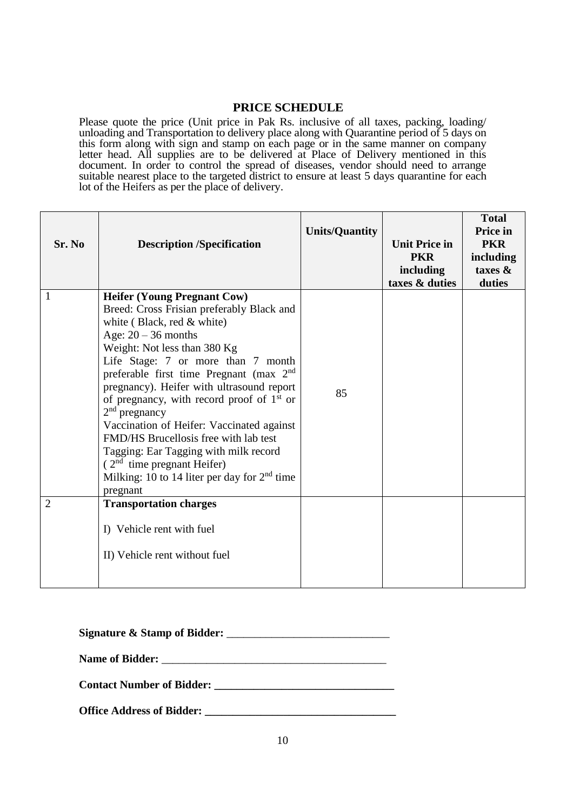#### **PRICE SCHEDULE**

Please quote the price (Unit price in Pak Rs. inclusive of all taxes, packing, loading/ unloading and Transportation to delivery place along with Quarantine period of 5 days on this form along with sign and stamp on each page or in the same manner on company letter head. All supplies are to be delivered at Place of Delivery mentioned in this document. In order to control the spread of diseases, vendor should need to arrange suitable nearest place to the targeted district to ensure at least 5 days quarantine for each lot of the Heifers as per the place of delivery.

| Sr. No         | <b>Description /Specification</b>                                                                                                                                                                                                                                                                                                                                                                                                                                                                                                                                                                                         | <b>Units/Quantity</b> | <b>Unit Price in</b><br><b>PKR</b><br>including<br>taxes & duties | <b>Total</b><br>Price in<br><b>PKR</b><br>including<br>taxes $\&$<br>duties |
|----------------|---------------------------------------------------------------------------------------------------------------------------------------------------------------------------------------------------------------------------------------------------------------------------------------------------------------------------------------------------------------------------------------------------------------------------------------------------------------------------------------------------------------------------------------------------------------------------------------------------------------------------|-----------------------|-------------------------------------------------------------------|-----------------------------------------------------------------------------|
| $\mathbf{1}$   | <b>Heifer (Young Pregnant Cow)</b><br>Breed: Cross Frisian preferably Black and<br>white (Black, red & white)<br>Age: $20 - 36$ months<br>Weight: Not less than 380 Kg<br>Life Stage: 7 or more than 7 month<br>preferable first time Pregnant (max 2 <sup>nd</sup><br>pregnancy). Heifer with ultrasound report<br>of pregnancy, with record proof of $1st$ or<br>$2nd$ pregnancy<br>Vaccination of Heifer: Vaccinated against<br>FMD/HS Brucellosis free with lab test<br>Tagging: Ear Tagging with milk record<br>$(2nd$ time pregnant Heifer)<br>Milking: 10 to 14 liter per day for 2 <sup>nd</sup> time<br>pregnant | 85                    |                                                                   |                                                                             |
| $\overline{2}$ | <b>Transportation charges</b><br>I) Vehicle rent with fuel<br>II) Vehicle rent without fuel                                                                                                                                                                                                                                                                                                                                                                                                                                                                                                                               |                       |                                                                   |                                                                             |

| <b>Contact Number of Bidder:</b> |  |
|----------------------------------|--|
|                                  |  |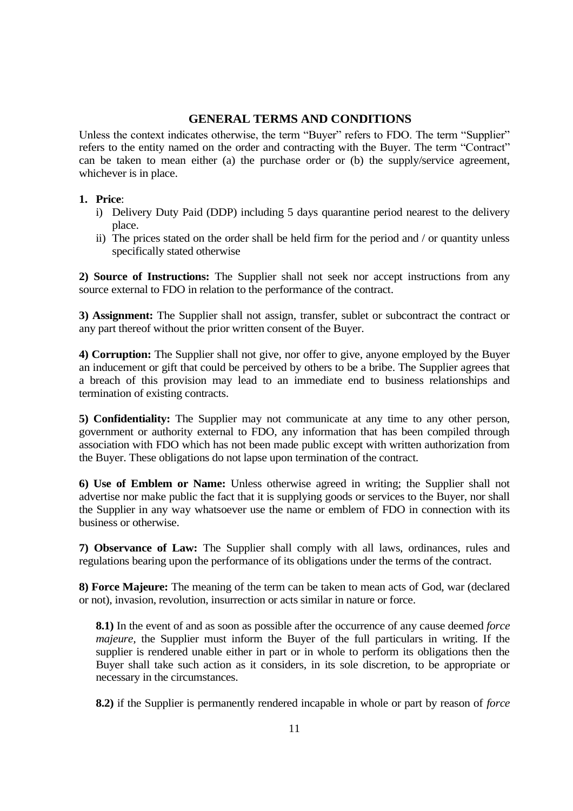### **GENERAL TERMS AND CONDITIONS**

Unless the context indicates otherwise, the term "Buyer" refers to FDO. The term "Supplier" refers to the entity named on the order and contracting with the Buyer. The term "Contract" can be taken to mean either (a) the purchase order or (b) the supply/service agreement, whichever is in place.

### **1. Price**:

- i) Delivery Duty Paid (DDP) including 5 days quarantine period nearest to the delivery place.
- ii) The prices stated on the order shall be held firm for the period and / or quantity unless specifically stated otherwise

**2) Source of Instructions:** The Supplier shall not seek nor accept instructions from any source external to FDO in relation to the performance of the contract.

**3) Assignment:** The Supplier shall not assign, transfer, sublet or subcontract the contract or any part thereof without the prior written consent of the Buyer.

**4) Corruption:** The Supplier shall not give, nor offer to give, anyone employed by the Buyer an inducement or gift that could be perceived by others to be a bribe. The Supplier agrees that a breach of this provision may lead to an immediate end to business relationships and termination of existing contracts.

**5) Confidentiality:** The Supplier may not communicate at any time to any other person, government or authority external to FDO, any information that has been compiled through association with FDO which has not been made public except with written authorization from the Buyer. These obligations do not lapse upon termination of the contract.

**6) Use of Emblem or Name:** Unless otherwise agreed in writing; the Supplier shall not advertise nor make public the fact that it is supplying goods or services to the Buyer, nor shall the Supplier in any way whatsoever use the name or emblem of FDO in connection with its business or otherwise.

**7) Observance of Law:** The Supplier shall comply with all laws, ordinances, rules and regulations bearing upon the performance of its obligations under the terms of the contract.

**8) Force Majeure:** The meaning of the term can be taken to mean acts of God, war (declared or not), invasion, revolution, insurrection or acts similar in nature or force.

**8.1)** In the event of and as soon as possible after the occurrence of any cause deemed *force majeure*, the Supplier must inform the Buyer of the full particulars in writing. If the supplier is rendered unable either in part or in whole to perform its obligations then the Buyer shall take such action as it considers, in its sole discretion, to be appropriate or necessary in the circumstances.

**8.2)** if the Supplier is permanently rendered incapable in whole or part by reason of *force*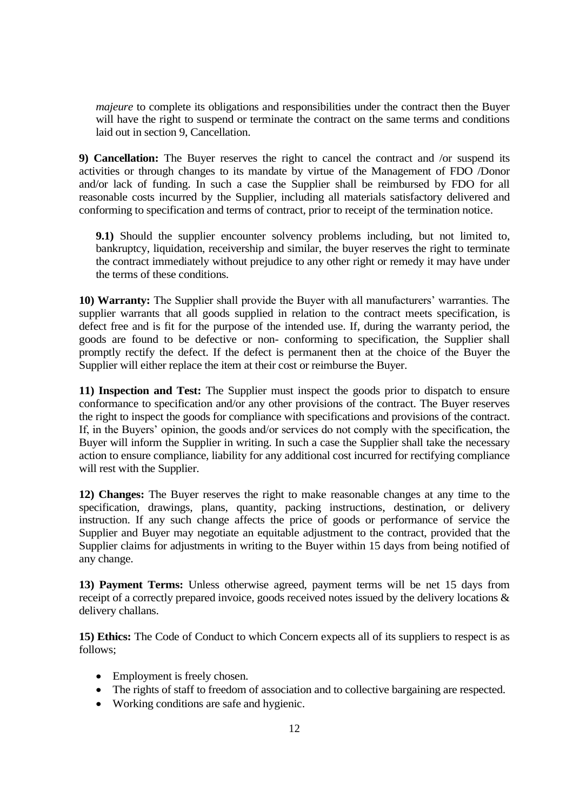*majeure* to complete its obligations and responsibilities under the contract then the Buyer will have the right to suspend or terminate the contract on the same terms and conditions laid out in section 9, Cancellation.

**9) Cancellation:** The Buyer reserves the right to cancel the contract and /or suspend its activities or through changes to its mandate by virtue of the Management of FDO /Donor and/or lack of funding. In such a case the Supplier shall be reimbursed by FDO for all reasonable costs incurred by the Supplier, including all materials satisfactory delivered and conforming to specification and terms of contract, prior to receipt of the termination notice.

**9.1)** Should the supplier encounter solvency problems including, but not limited to, bankruptcy, liquidation, receivership and similar, the buyer reserves the right to terminate the contract immediately without prejudice to any other right or remedy it may have under the terms of these conditions.

**10) Warranty:** The Supplier shall provide the Buyer with all manufacturers' warranties. The supplier warrants that all goods supplied in relation to the contract meets specification, is defect free and is fit for the purpose of the intended use. If, during the warranty period, the goods are found to be defective or non- conforming to specification, the Supplier shall promptly rectify the defect. If the defect is permanent then at the choice of the Buyer the Supplier will either replace the item at their cost or reimburse the Buyer.

**11) Inspection and Test:** The Supplier must inspect the goods prior to dispatch to ensure conformance to specification and/or any other provisions of the contract. The Buyer reserves the right to inspect the goods for compliance with specifications and provisions of the contract. If, in the Buyers' opinion, the goods and/or services do not comply with the specification, the Buyer will inform the Supplier in writing. In such a case the Supplier shall take the necessary action to ensure compliance, liability for any additional cost incurred for rectifying compliance will rest with the Supplier.

**12) Changes:** The Buyer reserves the right to make reasonable changes at any time to the specification, drawings, plans, quantity, packing instructions, destination, or delivery instruction. If any such change affects the price of goods or performance of service the Supplier and Buyer may negotiate an equitable adjustment to the contract, provided that the Supplier claims for adjustments in writing to the Buyer within 15 days from being notified of any change.

**13) Payment Terms:** Unless otherwise agreed, payment terms will be net 15 days from receipt of a correctly prepared invoice, goods received notes issued by the delivery locations & delivery challans.

**15) Ethics:** The Code of Conduct to which Concern expects all of its suppliers to respect is as follows;

- Employment is freely chosen.
- The rights of staff to freedom of association and to collective bargaining are respected.
- Working conditions are safe and hygienic.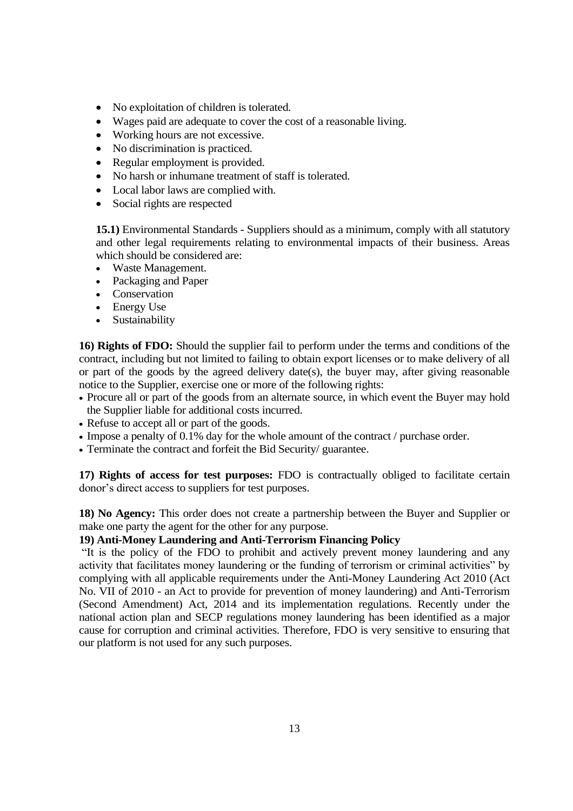- No exploitation of children is tolerated.
- Wages paid are adequate to cover the cost of a reasonable living.
- Working hours are not excessive.
- No discrimination is practiced.
- Regular employment is provided.
- No harsh or inhumane treatment of staff is tolerated.
- Local labor laws are complied with.
- Social rights are respected

**15.1)** Environmental Standards - Suppliers should as a minimum, comply with all statutory and other legal requirements relating to environmental impacts of their business. Areas which should be considered are:

- Waste Management.
- Packaging and Paper
- Conservation
- Energy Use
- Sustainability

**16) Rights of FDO:** Should the supplier fail to perform under the terms and conditions of the contract, including but not limited to failing to obtain export licenses or to make delivery of all or part of the goods by the agreed delivery date(s), the buyer may, after giving reasonable notice to the Supplier, exercise one or more of the following rights:

- Procure all or part of the goods from an alternate source, in which event the Buyer may hold the Supplier liable for additional costs incurred.
- Refuse to accept all or part of the goods.
- Impose a penalty of 0.1% day for the whole amount of the contract / purchase order.
- Terminate the contract and forfeit the Bid Security/ guarantee.

**17) Rights of access for test purposes:** FDO is contractually obliged to facilitate certain donor's direct access to suppliers for test purposes.

**18) No Agency:** This order does not create a partnership between the Buyer and Supplier or make one party the agent for the other for any purpose.

#### **19) Anti-Money Laundering and Anti-Terrorism Financing Policy**

"It is the policy of the FDO to prohibit and actively prevent money laundering and any activity that facilitates money laundering or the funding of terrorism or criminal activities" by complying with all applicable requirements under the Anti-Money Laundering Act 2010 (Act No. VII of 2010 - an Act to provide for prevention of money laundering) and Anti-Terrorism (Second Amendment) Act, 2014 and its implementation regulations. Recently under the national action plan and SECP regulations money laundering has been identified as a major cause for corruption and criminal activities. Therefore, FDO is very sensitive to ensuring that our platform is not used for any such purposes.